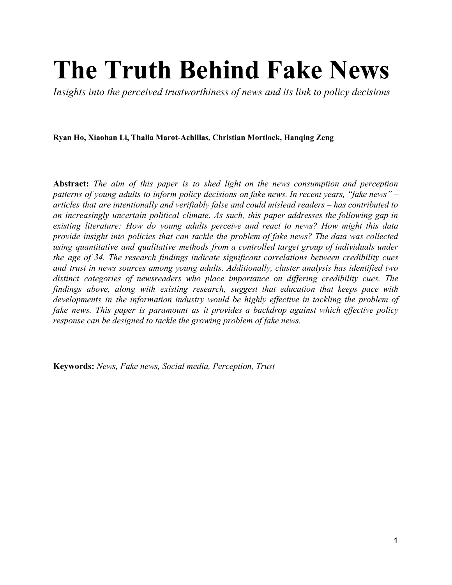# **The Truth Behind Fake News**

*Insights into the perceived trustworthiness of news and its link to policy decisions*

**Ryan Ho, Xiaohan Li, Thalia Marot-Achillas, Christian Mortlock, Hanqing Zeng**

**Abstract:** *The aim of this paper is to shed light on the news consumption and perception patterns of young adults to inform policy decisions on fake news. In recent years, "fake news" – articles that are intentionally and verifiably false and could mislead readers – has contributed to an increasingly uncertain political climate. As such, this paper addresses the following gap in existing literature: How do young adults perceive and react to news? How might this data provide insight into policies that can tackle the problem of fake news? The data was collected using quantitative and qualitative methods from a controlled target group of individuals under the age of 34. The research findings indicate significant correlations between credibility cues and trust in news sources among young adults. Additionally, cluster analysis has identified two distinct categories of newsreaders who place importance on differing credibility cues. The findings above, along with existing research, suggest that education that keeps pace with developments in the information industry would be highly effective in tackling the problem of fake news. This paper is paramount as it provides a backdrop against which effective policy response can be designed to tackle the growing problem of fake news.*

**Keywords:** *News, Fake news, Social media, Perception, Trust*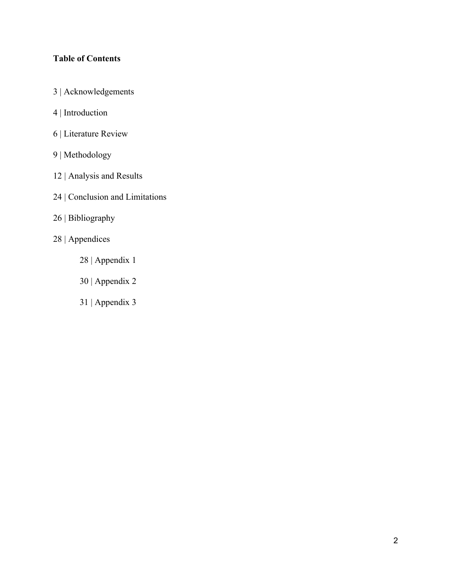# **Table of Contents**

- 3 | Acknowledgements
- 4 | Introduction
- 6 | Literature Review
- 9 | Methodology
- 12 | Analysis and Results
- 24 | Conclusion and Limitations
- 26 | Bibliography
- 28 | Appendices
	- 28 | Appendix 1
	- 30 | Appendix 2
	- 31 | Appendix 3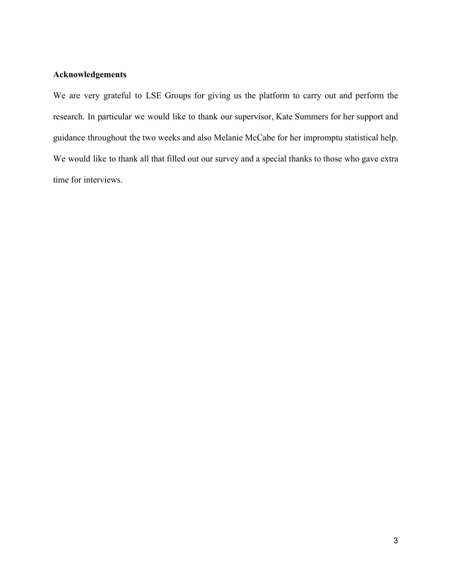# **Acknowledgements**

We are very grateful to LSE Groups for giving us the platform to carry out and perform the research. In particular we would like to thank our supervisor, Kate Summers for her support and guidance throughout the two weeks and also Melanie McCabe for her impromptu statistical help. We would like to thank all that filled out our survey and a special thanks to those who gave extra time for interviews.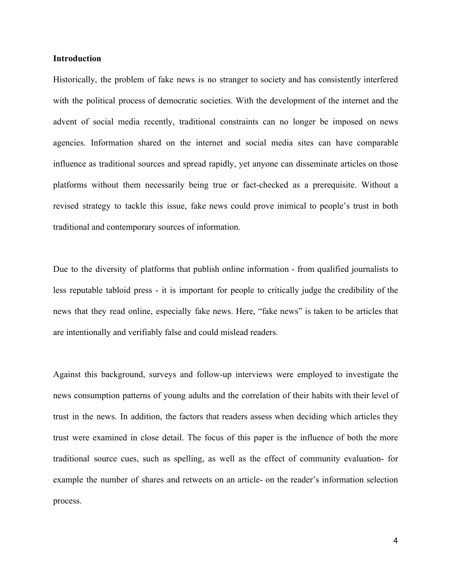#### **Introduction**

Historically, the problem of fake news is no stranger to society and has consistently interfered with the political process of democratic societies. With the development of the internet and the advent of social media recently, traditional constraints can no longer be imposed on news agencies. Information shared on the internet and social media sites can have comparable influence as traditional sources and spread rapidly, yet anyone can disseminate articles on those platforms without them necessarily being true or fact-checked as a prerequisite. Without a revised strategy to tackle this issue, fake news could prove inimical to people's trust in both traditional and contemporary sources of information.

Due to the diversity of platforms that publish online information - from qualified journalists to less reputable tabloid press - it is important for people to critically judge the credibility of the news that they read online, especially fake news. Here, "fake news" is taken to be articles that are intentionally and verifiably false and could mislead readers.

Against this background, surveys and follow-up interviews were employed to investigate the news consumption patterns of young adults and the correlation of their habits with their level of trust in the news. In addition, the factors that readers assess when deciding which articles they trust were examined in close detail. The focus of this paper is the influence of both the more traditional source cues, such as spelling, as well as the effect of community evaluation- for example the number of shares and retweets on an article- on the reader's information selection process.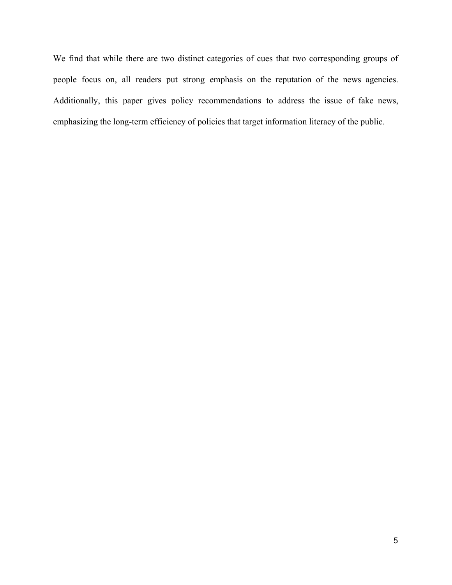We find that while there are two distinct categories of cues that two corresponding groups of people focus on, all readers put strong emphasis on the reputation of the news agencies. Additionally, this paper gives policy recommendations to address the issue of fake news, emphasizing the long-term efficiency of policies that target information literacy of the public.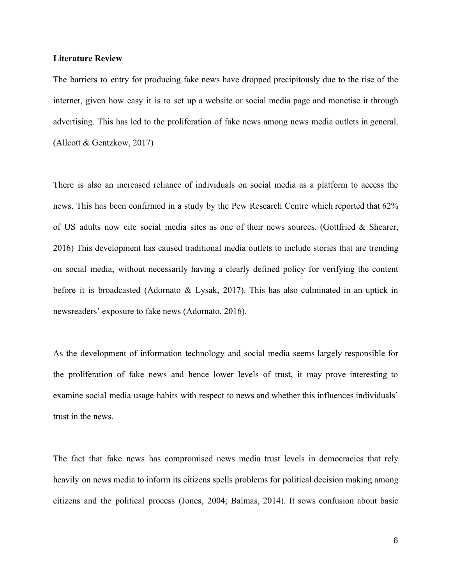#### **Literature Review**

The barriers to entry for producing fake news have dropped precipitously due to the rise of the internet, given how easy it is to set up a website or social media page and monetise it through advertising. This has led to the proliferation of fake news among news media outlets in general. (Allcott & Gentzkow, 2017)

There is also an increased reliance of individuals on social media as a platform to access the news. This has been confirmed in a study by the Pew Research Centre which reported that 62% of US adults now cite social media sites as one of their news sources. (Gottfried & Shearer, 2016) This development has caused traditional media outlets to include stories that are trending on social media, without necessarily having a clearly defined policy for verifying the content before it is broadcasted (Adornato & Lysak, 2017). This has also culminated in an uptick in newsreaders' exposure to fake news (Adornato, 2016).

As the development of information technology and social media seems largely responsible for the proliferation of fake news and hence lower levels of trust, it may prove interesting to examine social media usage habits with respect to news and whether this influences individuals' trust in the news.

The fact that fake news has compromised news media trust levels in democracies that rely heavily on news media to inform its citizens spells problems for political decision making among citizens and the political process (Jones, 2004; Balmas, 2014). It sows confusion about basic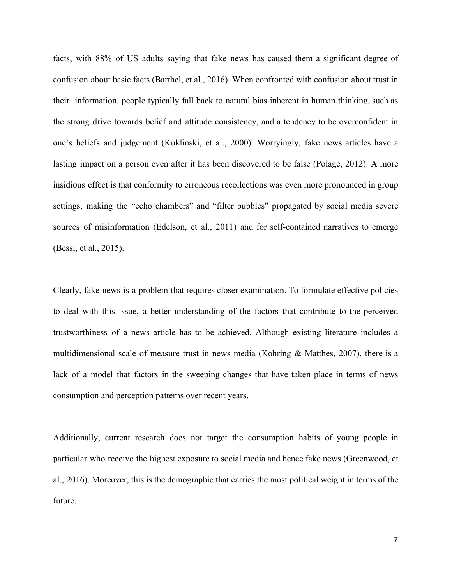facts, with 88% of US adults saying that fake news has caused them a significant degree of confusion about basic facts (Barthel, et al., 2016). When confronted with confusion about trust in their information, people typically fall back to natural bias inherent in human thinking, such as the strong drive towards belief and attitude consistency, and a tendency to be overconfident in one's beliefs and judgement (Kuklinski, et al., 2000). Worryingly, fake news articles have a lasting impact on a person even after it has been discovered to be false (Polage, 2012). A more insidious effect is that conformity to erroneous recollections was even more pronounced in group settings, making the "echo chambers" and "filter bubbles" propagated by social media severe sources of misinformation (Edelson, et al., 2011) and for self-contained narratives to emerge (Bessi, et al., 2015).

Clearly, fake news is a problem that requires closer examination. To formulate effective policies to deal with this issue, a better understanding of the factors that contribute to the perceived trustworthiness of a news article has to be achieved. Although existing literature includes a multidimensional scale of measure trust in news media (Kohring & Matthes, 2007), there is a lack of a model that factors in the sweeping changes that have taken place in terms of news consumption and perception patterns over recent years.

Additionally, current research does not target the consumption habits of young people in particular who receive the highest exposure to social media and hence fake news (Greenwood, et al., 2016). Moreover, this is the demographic that carries the most political weight in terms of the future.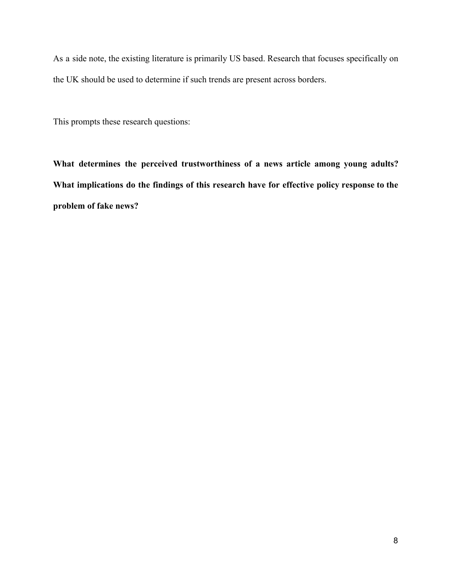As a side note, the existing literature is primarily US based. Research that focuses specifically on the UK should be used to determine if such trends are present across borders.

This prompts these research questions:

**What determines the perceived trustworthiness of a news article among young adults? What implications do the findings of this research have for effective policy response to the problem of fake news?**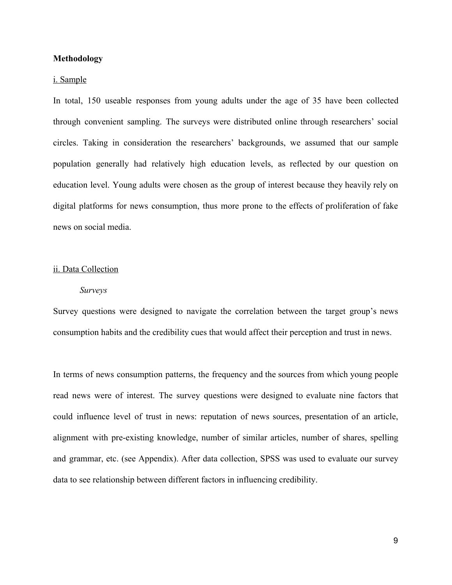#### **Methodology**

#### i. Sample

In total, 150 useable responses from young adults under the age of 35 have been collected through convenient sampling. The surveys were distributed online through researchers' social circles. Taking in consideration the researchers' backgrounds, we assumed that our sample population generally had relatively high education levels, as reflected by our question on education level. Young adults were chosen as the group of interest because they heavily rely on digital platforms for news consumption, thus more prone to the effects of proliferation of fake news on social media.

#### ii. Data Collection

#### *Surveys*

Survey questions were designed to navigate the correlation between the target group's news consumption habits and the credibility cues that would affect their perception and trust in news.

In terms of news consumption patterns, the frequency and the sources from which young people read news were of interest. The survey questions were designed to evaluate nine factors that could influence level of trust in news: reputation of news sources, presentation of an article, alignment with pre-existing knowledge, number of similar articles, number of shares, spelling and grammar, etc. (see Appendix). After data collection, SPSS was used to evaluate our survey data to see relationship between different factors in influencing credibility.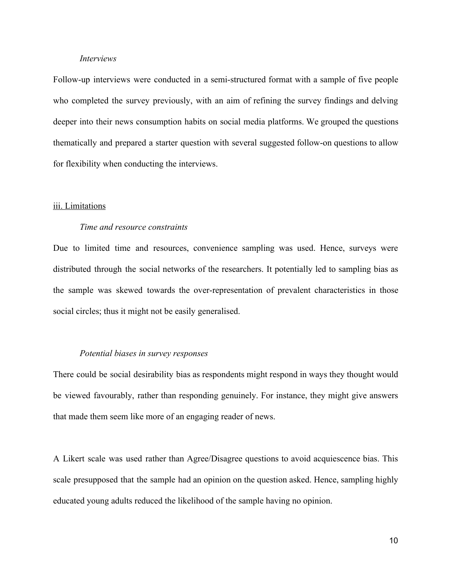#### *Interviews*

Follow-up interviews were conducted in a semi-structured format with a sample of five people who completed the survey previously, with an aim of refining the survey findings and delving deeper into their news consumption habits on social media platforms. We grouped the questions thematically and prepared a starter question with several suggested follow-on questions to allow for flexibility when conducting the interviews.

#### iii. Limitations

#### *Time and resource constraints*

Due to limited time and resources, convenience sampling was used. Hence, surveys were distributed through the social networks of the researchers. It potentially led to sampling bias as the sample was skewed towards the over-representation of prevalent characteristics in those social circles; thus it might not be easily generalised.

#### *Potential biases in survey responses*

There could be social desirability bias as respondents might respond in ways they thought would be viewed favourably, rather than responding genuinely. For instance, they might give answers that made them seem like more of an engaging reader of news.

A Likert scale was used rather than Agree/Disagree questions to avoid acquiescence bias. This scale presupposed that the sample had an opinion on the question asked. Hence, sampling highly educated young adults reduced the likelihood of the sample having no opinion.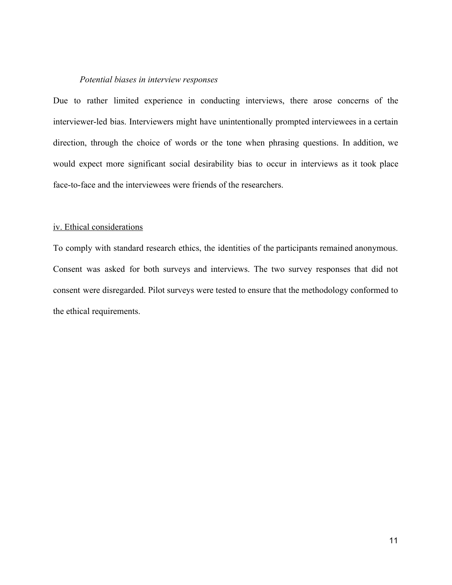#### *Potential biases in interview responses*

Due to rather limited experience in conducting interviews, there arose concerns of the interviewer-led bias. Interviewers might have unintentionally prompted interviewees in a certain direction, through the choice of words or the tone when phrasing questions. In addition, we would expect more significant social desirability bias to occur in interviews as it took place face-to-face and the interviewees were friends of the researchers.

#### iv. Ethical considerations

To comply with standard research ethics, the identities of the participants remained anonymous. Consent was asked for both surveys and interviews. The two survey responses that did not consent were disregarded. Pilot surveys were tested to ensure that the methodology conformed to the ethical requirements.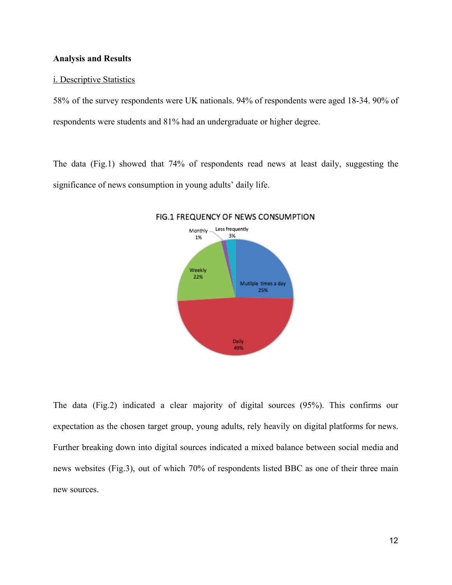#### **Analysis and Results**

#### i. Descriptive Statistics

58% of the survey respondents were UK nationals. 94% of respondents were aged 18-34. 90% of respondents were students and 81% had an undergraduate or higher degree.

The data (Fig.1) showed that 74% of respondents read news at least daily, suggesting the significance of news consumption in young adults' daily life.



#### FIG.1 FREQUENCY OF NEWS CONSUMPTION

The data (Fig.2) indicated a clear majority of digital sources (95%). This confirms our expectation as the chosen target group, young adults, rely heavily on digital platforms for news. Further breaking down into digital sources indicated a mixed balance between social media and news websites (Fig.3), out of which 70% of respondents listed BBC as one of their three main new sources.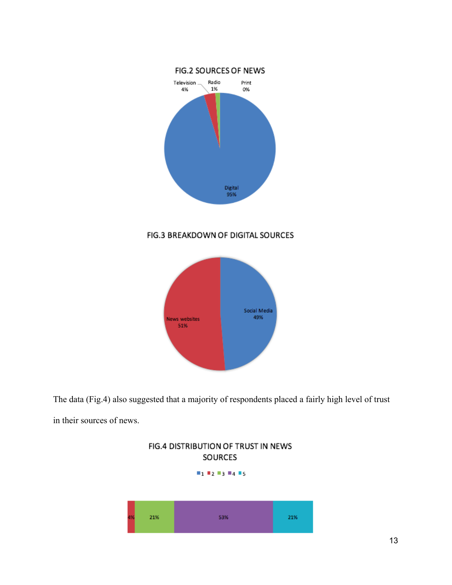

# FIG.3 BREAKDOWN OF DIGITAL SOURCES



The data (Fig.4) also suggested that a majority of respondents placed a fairly high level of trust in their sources of news.

FIG.4 DISTRIBUTION OF TRUST IN NEWS

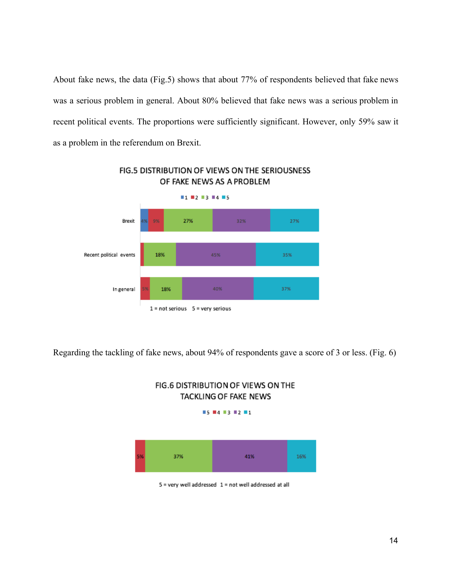About fake news, the data (Fig.5) shows that about 77% of respondents believed that fake news was a serious problem in general. About 80% believed that fake news was a serious problem in recent political events. The proportions were sufficiently significant. However, only 59% saw it as a problem in the referendum on Brexit.



# FIG.5 DISTRIBUTION OF VIEWS ON THE SERIOUSNESS OF FAKE NEWS AS A PROBLEM

Regarding the tackling of fake news, about 94% of respondents gave a score of 3 or less. (Fig. 6)



# FIG.6 DISTRIBUTION OF VIEWS ON THE TACKLING OF FAKE NEWS

5 = very well addressed 1 = not well addressed at all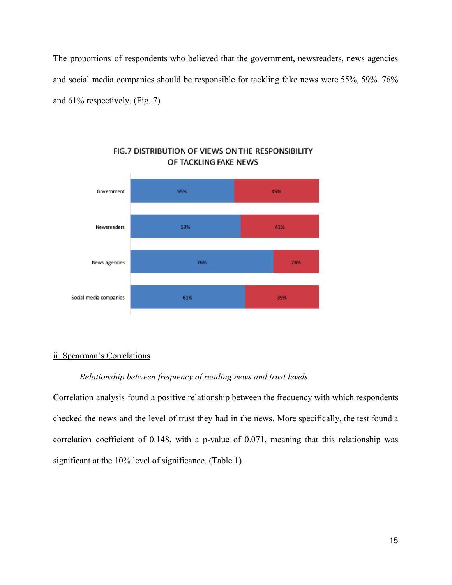The proportions of respondents who believed that the government, newsreaders, news agencies and social media companies should be responsible for tackling fake news were 55%, 59%, 76% and 61% respectively. (Fig. 7)



# FIG.7 DISTRIBUTION OF VIEWS ON THE RESPONSIBILITY OF TACKLING FAKE NEWS

#### ii. Spearman's Correlations

#### *Relationship between frequency of reading news and trust levels*

Correlation analysis found a positive relationship between the frequency with which respondents checked the news and the level of trust they had in the news. More specifically, the test found a correlation coefficient of 0.148, with a p-value of 0.071, meaning that this relationship was significant at the 10% level of significance. (Table 1)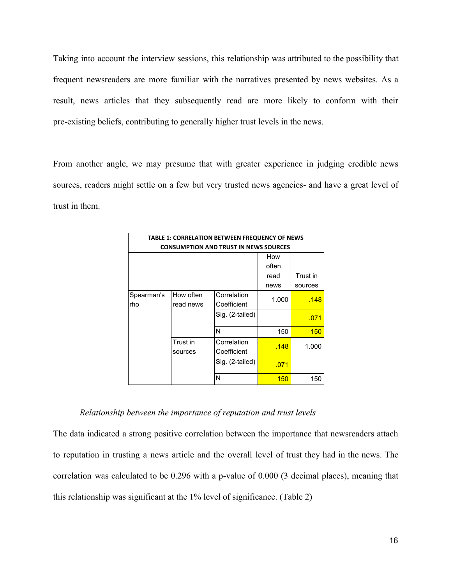Taking into account the interview sessions, this relationship was attributed to the possibility that frequent newsreaders are more familiar with the narratives presented by news websites. As a result, news articles that they subsequently read are more likely to conform with their pre-existing beliefs, contributing to generally higher trust levels in the news.

From another angle, we may presume that with greater experience in judging credible news sources, readers might settle on a few but very trusted news agencies- and have a great level of trust in them.

| TABLE 1: CORRELATION BETWEEN FREQUENCY OF NEWS |                     |                            |          |         |  |  |  |
|------------------------------------------------|---------------------|----------------------------|----------|---------|--|--|--|
| <b>CONSUMPTION AND TRUST IN NEWS SOURCES</b>   |                     |                            |          |         |  |  |  |
|                                                |                     |                            | How      |         |  |  |  |
|                                                |                     | often                      |          |         |  |  |  |
|                                                |                     | read                       | Trust in |         |  |  |  |
|                                                |                     |                            | news     | sources |  |  |  |
| Spearman's                                     | How often           | Correlation                | 1.000    | .148    |  |  |  |
| rho                                            | read news           | Coefficient                |          |         |  |  |  |
|                                                |                     | Sig. (2-tailed)            |          | .071    |  |  |  |
|                                                |                     | N                          | 150      | 150     |  |  |  |
|                                                | Trust in<br>sources | Correlation<br>Coefficient | .148     | 1.000   |  |  |  |
|                                                |                     | Sig. (2-tailed)            | .071     |         |  |  |  |
|                                                |                     | N                          | 150      | 150     |  |  |  |

#### *Relationship between the importance of reputation and trust levels*

The data indicated a strong positive correlation between the importance that newsreaders attach to reputation in trusting a news article and the overall level of trust they had in the news. The correlation was calculated to be 0.296 with a p-value of 0.000 (3 decimal places), meaning that this relationship was significant at the 1% level of significance. (Table 2)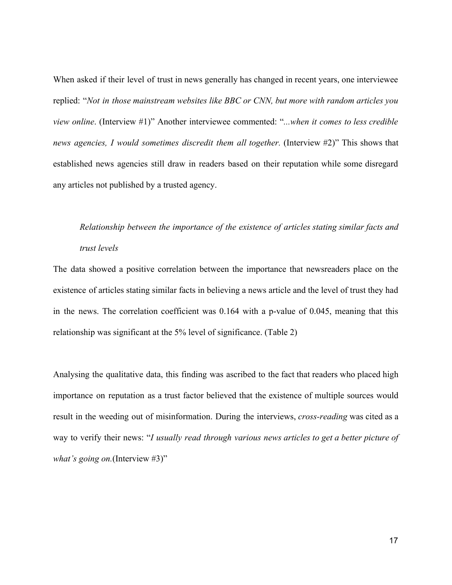When asked if their level of trust in news generally has changed in recent years, one interviewee replied: "*Not in those mainstream websites like BBC or CNN, but more with random articles you view online*. (Interview #1)" Another interviewee commented: "*...when it comes to less credible news agencies, I would sometimes discredit them all together.* (Interview #2)" This shows that established news agencies still draw in readers based on their reputation while some disregard any articles not published by a trusted agency.

# *Relationship between the importance of the existence of articles stating similar facts and trust levels*

The data showed a positive correlation between the importance that newsreaders place on the existence of articles stating similar facts in believing a news article and the level of trust they had in the news. The correlation coefficient was 0.164 with a p-value of 0.045, meaning that this relationship was significant at the 5% level of significance. (Table 2)

Analysing the qualitative data, this finding was ascribed to the fact that readers who placed high importance on reputation as a trust factor believed that the existence of multiple sources would result in the weeding out of misinformation. During the interviews, *cross-reading* was cited as a way to verify their news: "*I usually read through various news articles to get a better picture of what's going on.*(Interview #3)"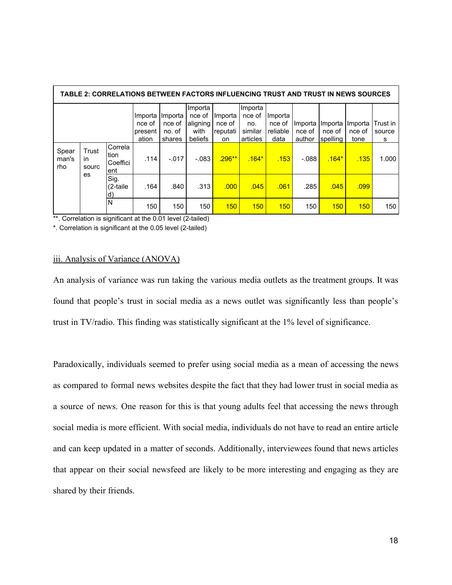| TABLE 2: CORRELATIONS BETWEEN FACTORS INFLUENCING TRUST AND TRUST IN NEWS SOURCES |                                    |      |                                       |                                       |                                                  |                                     |                                                 |                                       |                             |                               |                           |                         |
|-----------------------------------------------------------------------------------|------------------------------------|------|---------------------------------------|---------------------------------------|--------------------------------------------------|-------------------------------------|-------------------------------------------------|---------------------------------------|-----------------------------|-------------------------------|---------------------------|-------------------------|
|                                                                                   |                                    |      | Importa<br>nce of<br>present<br>ation | Importa<br>nce of<br>no. of<br>shares | Importa<br>nce of<br>aligning<br>with<br>beliefs | Importa<br>nce of<br>reputati<br>on | Importa<br>nce of<br>no.<br>similar<br>articles | Importa<br>nce of<br>reliable<br>data | Importa<br>nce of<br>author | Importa<br>nce of<br>spelling | Importa<br>nce of<br>tone | Trust in<br>source<br>s |
| Spear<br>Trust<br>man's<br>in.<br>rho<br>sourc<br>es                              | Correla<br>tion<br>Coeffici<br>ent | .114 | $-.017$                               | $-.083$                               | $.296***$                                        | $.164*$                             | .153                                            | $-0.088$                              | $.164*$                     | .135                          | 1.000                     |                         |
|                                                                                   | Sig.<br>$(2$ -taile<br>d)          | .164 | .840                                  | .313                                  | .000                                             | .045                                | .061                                            | .285                                  | .045                        | .099                          |                           |                         |
|                                                                                   |                                    | N    | 150                                   | 150                                   | 150                                              | 150                                 | 150                                             | 150                                   | 150                         | 150                           | 150                       | 150                     |

\*\*. Correlation is significant at the 0.01 level (2-tailed)

\*. Correlation is significant at the 0.05 level (2-tailed)

#### iii. Analysis of Variance (ANOVA)

An analysis of variance was run taking the various media outlets as the treatment groups. It was found that people's trust in social media as a news outlet was significantly less than people's trust in TV/radio. This finding was statistically significant at the 1% level of significance.

Paradoxically, individuals seemed to prefer using social media as a mean of accessing the news as compared to formal news websites despite the fact that they had lower trust in social media as a source of news. One reason for this is that young adults feel that accessing the news through social media is more efficient. With social media, individuals do not have to read an entire article and can keep updated in a matter of seconds. Additionally, interviewees found that news articles that appear on their social newsfeed are likely to be more interesting and engaging as they are shared by their friends.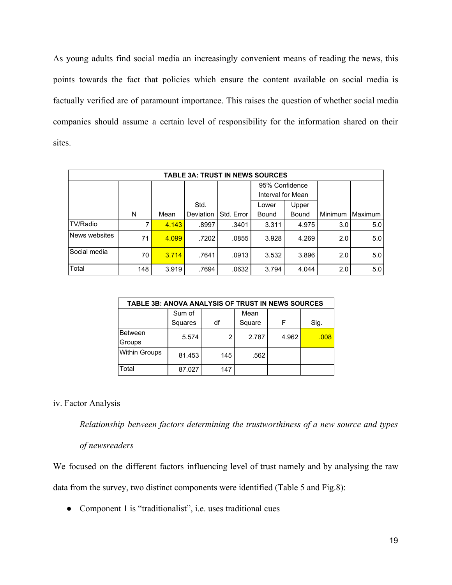As young adults find social media an increasingly convenient means of reading the news, this points towards the fact that policies which ensure the content available on social media is factually verified are of paramount importance. This raises the question of whether social media companies should assume a certain level of responsibility for the information shared on their sites.

| <b>TABLE 3A: TRUST IN NEWS SOURCES</b> |     |       |           |            |                   |       |         |         |
|----------------------------------------|-----|-------|-----------|------------|-------------------|-------|---------|---------|
|                                        |     |       |           |            | 95% Confidence    |       |         |         |
|                                        |     |       |           |            | Interval for Mean |       |         |         |
|                                        |     |       | Std.      |            | Lower             | Upper |         |         |
|                                        | N   | Mean  | Deviation | Std. Error | Bound             | Bound | Minimum | Maximum |
| TV/Radio                               | 7   | 4.143 | .8997     | .3401      | 3.311             | 4.975 | 3.0     | 5.0     |
| News websites                          | 71  | 4.099 | .7202     | .0855      | 3.928             | 4.269 | 2.0     | 5.0     |
| Social media                           | 70  | 3.714 | .7641     | .0913      | 3.532             | 3.896 | 2.0     | 5.0     |
| Total                                  | 148 | 3.919 | .7694     | .0632      | 3.794             | 4.044 | 2.0     | 5.0     |

| TABLE 3B: ANOVA ANALYSIS OF TRUST IN NEWS SOURCES |         |     |        |       |      |  |  |
|---------------------------------------------------|---------|-----|--------|-------|------|--|--|
|                                                   | Sum of  |     | Mean   |       |      |  |  |
|                                                   | Squares | df  | Square | F     | Sig. |  |  |
| <b>Between</b>                                    | 5.574   | 2   | 2.787  | 4.962 | .008 |  |  |
| Groups                                            |         |     |        |       |      |  |  |
| <b>Within Groups</b>                              | 81.453  | 145 | .562   |       |      |  |  |
| Total                                             | 87.027  | 147 |        |       |      |  |  |

# iv. Factor Analysis

*Relationship between factors determining the trustworthiness of a new source and types*

# *of newsreaders*

We focused on the different factors influencing level of trust namely and by analysing the raw data from the survey, two distinct components were identified (Table 5 and Fig.8):

• Component 1 is "traditionalist", i.e. uses traditional cues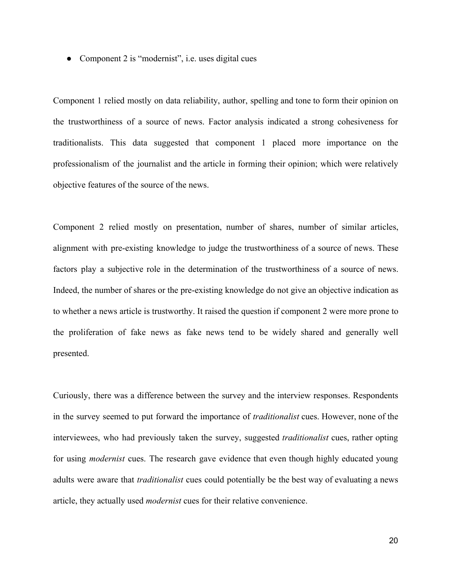• Component 2 is "modernist", i.e. uses digital cues

Component 1 relied mostly on data reliability, author, spelling and tone to form their opinion on the trustworthiness of a source of news. Factor analysis indicated a strong cohesiveness for traditionalists. This data suggested that component 1 placed more importance on the professionalism of the journalist and the article in forming their opinion; which were relatively objective features of the source of the news.

Component 2 relied mostly on presentation, number of shares, number of similar articles, alignment with pre-existing knowledge to judge the trustworthiness of a source of news. These factors play a subjective role in the determination of the trustworthiness of a source of news. Indeed, the number of shares or the pre-existing knowledge do not give an objective indication as to whether a news article is trustworthy. It raised the question if component 2 were more prone to the proliferation of fake news as fake news tend to be widely shared and generally well presented.

Curiously, there was a difference between the survey and the interview responses. Respondents in the survey seemed to put forward the importance of *traditionalist* cues. However, none of the interviewees, who had previously taken the survey, suggested *traditionalist* cues, rather opting for using *modernist* cues. The research gave evidence that even though highly educated young adults were aware that *traditionalist* cues could potentially be the best way of evaluating a news article, they actually used *modernist* cues for their relative convenience.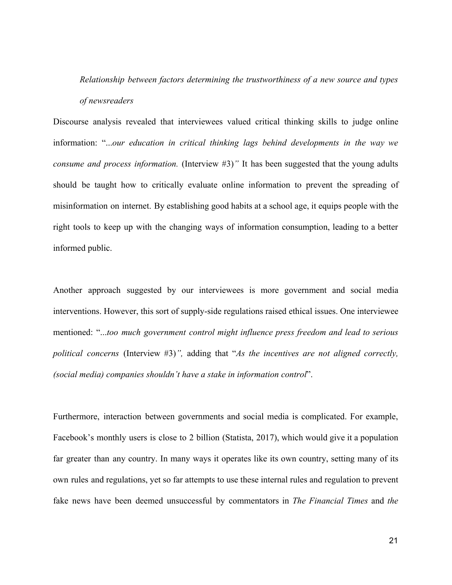# *Relationship between factors determining the trustworthiness of a new source and types of newsreaders*

Discourse analysis revealed that interviewees valued critical thinking skills to judge online information: "...*our education in critical thinking lags behind developments in the way we consume and process information.* (Interview #3)*"* It has been suggested that the young adults should be taught how to critically evaluate online information to prevent the spreading of misinformation on internet. By establishing good habits at a school age, it equips people with the right tools to keep up with the changing ways of information consumption, leading to a better informed public.

Another approach suggested by our interviewees is more government and social media interventions. However, this sort of supply-side regulations raised ethical issues. One interviewee mentioned: "...*too much government control might influence press freedom and lead to serious political concerns* (Interview #3)*",* adding that "*As the incentives are not aligned correctly, (social media) companies shouldn't have a stake in information control*".

Furthermore, interaction between governments and social media is complicated. For example, Facebook's monthly users is close to 2 billion (Statista, 2017), which would give it a population far greater than any country. In many ways it operates like its own country, setting many of its own rules and regulations, yet so far attempts to use these internal rules and regulation to prevent fake news have been deemed unsuccessful by commentators in *The Financial Times* and *the*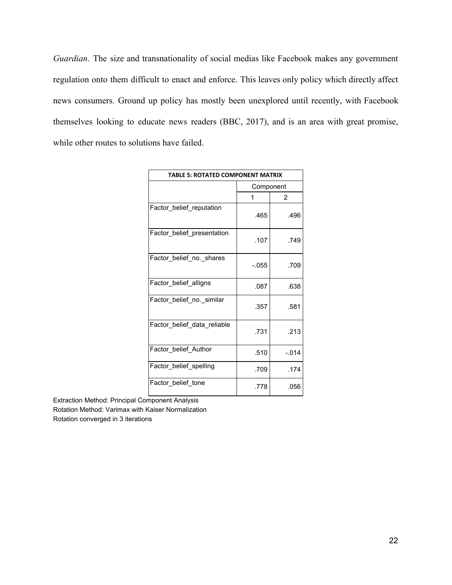*Guardian*. The size and transnationality of social medias like Facebook makes any government regulation onto them difficult to enact and enforce. This leaves only policy which directly affect news consumers. Ground up policy has mostly been unexplored until recently, with Facebook themselves looking to educate news readers (BBC, 2017), and is an area with great promise, while other routes to solutions have failed.

| <b>TABLE 5: ROTATED COMPONENT MATRIX</b> |           |         |  |  |  |
|------------------------------------------|-----------|---------|--|--|--|
|                                          | Component |         |  |  |  |
|                                          | 2<br>1    |         |  |  |  |
| Factor belief reputation                 | .465      | .496    |  |  |  |
| Factor_belief_presentation               | .107      | .749    |  |  |  |
| Factor_belief_no._shares                 | $-0.055$  | .709    |  |  |  |
| Factor belief alligns                    | .087      | .638    |  |  |  |
| Factor_belief_no._similar                | .357      | .581    |  |  |  |
| Factor belief data reliable              | .731      | .213    |  |  |  |
| Factor belief Author                     | .510      | $-0.14$ |  |  |  |
| Factor belief spelling                   | .709      | .174    |  |  |  |
| Factor belief tone                       | .778      | .056    |  |  |  |

Extraction Method: Principal Component Analysis

Rotation Method: Varimax with Kaiser Normalization

Rotation converged in 3 iterations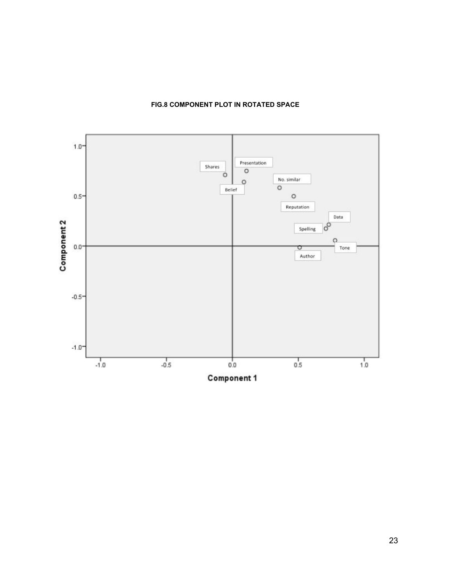

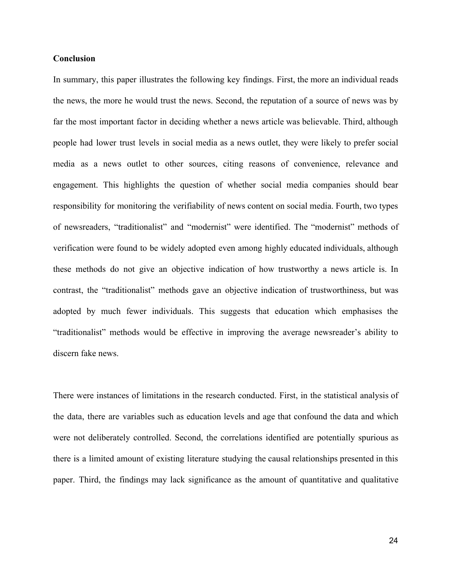#### **Conclusion**

In summary, this paper illustrates the following key findings. First, the more an individual reads the news, the more he would trust the news. Second, the reputation of a source of news was by far the most important factor in deciding whether a news article was believable. Third, although people had lower trust levels in social media as a news outlet, they were likely to prefer social media as a news outlet to other sources, citing reasons of convenience, relevance and engagement. This highlights the question of whether social media companies should bear responsibility for monitoring the verifiability of news content on social media. Fourth, two types of newsreaders, "traditionalist" and "modernist" were identified. The "modernist" methods of verification were found to be widely adopted even among highly educated individuals, although these methods do not give an objective indication of how trustworthy a news article is. In contrast, the "traditionalist" methods gave an objective indication of trustworthiness, but was adopted by much fewer individuals. This suggests that education which emphasises the "traditionalist" methods would be effective in improving the average newsreader's ability to discern fake news.

There were instances of limitations in the research conducted. First, in the statistical analysis of the data, there are variables such as education levels and age that confound the data and which were not deliberately controlled. Second, the correlations identified are potentially spurious as there is a limited amount of existing literature studying the causal relationships presented in this paper. Third, the findings may lack significance as the amount of quantitative and qualitative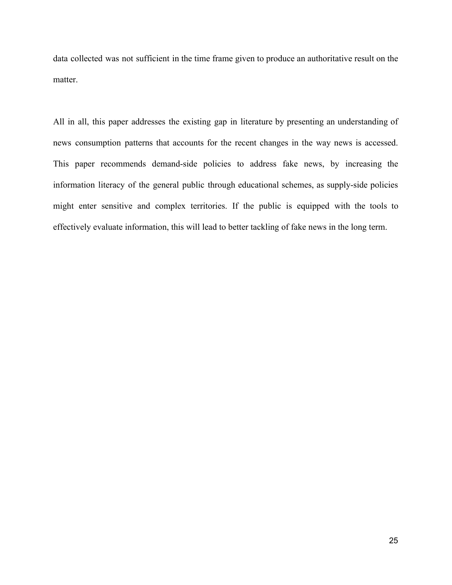data collected was not sufficient in the time frame given to produce an authoritative result on the matter.

All in all, this paper addresses the existing gap in literature by presenting an understanding of news consumption patterns that accounts for the recent changes in the way news is accessed. This paper recommends demand-side policies to address fake news, by increasing the information literacy of the general public through educational schemes, as supply-side policies might enter sensitive and complex territories. If the public is equipped with the tools to effectively evaluate information, this will lead to better tackling of fake news in the long term.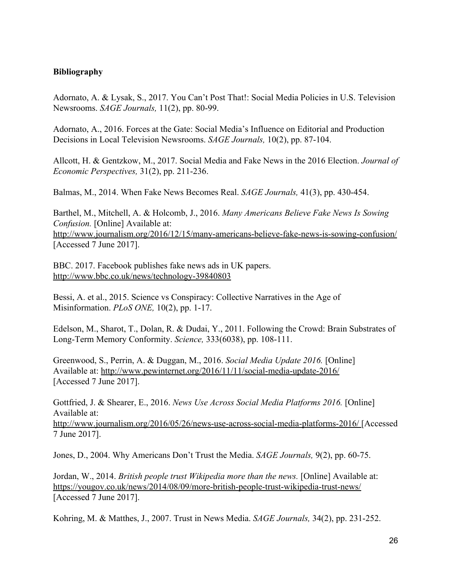# **Bibliography**

Adornato, A. & Lysak, S., 2017. You Can't Post That!: Social Media Policies in U.S. Television Newsrooms. *SAGE Journals,* 11(2), pp. 80-99.

Adornato, A., 2016. Forces at the Gate: Social Media's Influence on Editorial and Production Decisions in Local Television Newsrooms. *SAGE Journals,* 10(2), pp. 87-104.

Allcott, H. & Gentzkow, M., 2017. Social Media and Fake News in the 2016 Election. *Journal of Economic Perspectives,* 31(2), pp. 211-236.

Balmas, M., 2014. When Fake News Becomes Real. *SAGE Journals,* 41(3), pp. 430-454.

Barthel, M., Mitchell, A. & Holcomb, J., 2016. *Many Americans Believe Fake News Is Sowing Confusion.* [Online] Available at: http://www.journalism.org/2016/12/15/many-americans-believe-fake-news-is-sowing-confusion/ [Accessed 7 June 2017].

BBC. 2017. Facebook publishes fake news ads in UK papers. <http://www.bbc.co.uk/news/technology-39840803>

Bessi, A. et al., 2015. Science vs Conspiracy: Collective Narratives in the Age of Misinformation. *PLoS ONE,* 10(2), pp. 1-17.

Edelson, M., Sharot, T., Dolan, R. & Dudai, Y., 2011. Following the Crowd: Brain Substrates of Long-Term Memory Conformity. *Science,* 333(6038), pp. 108-111.

Greenwood, S., Perrin, A. & Duggan, M., 2016. *Social Media Update 2016.* [Online] Available at: http://www.pewinternet.org/2016/11/11/social-media-update-2016/ [Accessed 7 June 2017].

Gottfried, J. & Shearer, E., 2016. *News Use Across Social Media Platforms 2016.* [Online] Available at:

<http://www.journalism.org/2016/05/26/news-use-across-social-media-platforms-2016/> [Accessed 7 June 2017].

Jones, D., 2004. Why Americans Don't Trust the Media. *SAGE Journals,* 9(2), pp. 60-75.

Jordan, W., 2014. *British people trust Wikipedia more than the news.* [Online] Available at: <https://yougov.co.uk/news/2014/08/09/more-british-people-trust-wikipedia-trust-news/> [Accessed 7 June 2017].

Kohring, M. & Matthes, J., 2007. Trust in News Media. *SAGE Journals,* 34(2), pp. 231-252.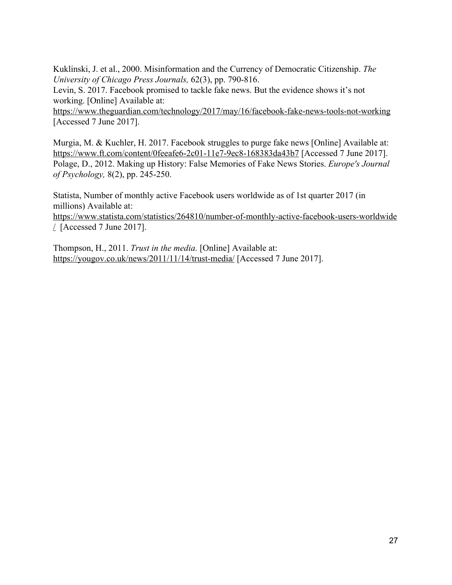Kuklinski, J. et al., 2000. Misinformation and the Currency of Democratic Citizenship. *The University of Chicago Press Journals,* 62(3), pp. 790-816.

Levin, S. 2017. Facebook promised to tackle fake news. But the evidence shows it's not working. [Online] Available at:

<https://www.theguardian.com/technology/2017/may/16/facebook-fake-news-tools-not-working> [Accessed 7 June 2017].

Murgia, M. & Kuchler, H. 2017. Facebook struggles to purge fake news [Online] Available at: <https://www.ft.com/content/0feeafe6-2c01-11e7-9ec8-168383da43b7>[Accessed 7 June 2017]. Polage, D., 2012. Making up History: False Memories of Fake News Stories. *Europe's Journal of Psychology,* 8(2), pp. 245-250.

Statista, Number of monthly active Facebook users worldwide as of 1st quarter 2017 (in millions) Available at:

[https://www.statista.com/statistics/264810/number-of-monthly-active-facebook-users-worldwide](https://www.statista.com/statistics/264810/number-of-monthly-active-facebook-users-worldwide/)  $\angle$  [Accessed 7 June 2017].

Thompson, H., 2011. *Trust in the media.* [Online] Available at: <https://yougov.co.uk/news/2011/11/14/trust-media/>[Accessed 7 June 2017].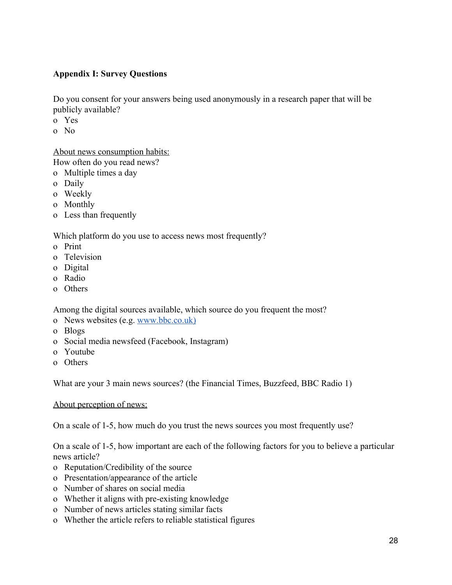# **Appendix I: Survey Questions**

Do you consent for your answers being used anonymously in a research paper that will be publicly available?

- o Yes
- o No

About news consumption habits:

How often do you read news?

- o Multiple times a day
- o Daily
- o Weekly
- o Monthly
- o Less than frequently

Which platform do you use to access news most frequently?

- o Print
- o Television
- o Digital
- o Radio
- o Others

Among the digital sources available, which source do you frequent the most?

- o News websites (e.g. www.bbc.co.uk)
- o Blogs
- o Social media newsfeed (Facebook, Instagram)
- o Youtube
- o Others

What are your 3 main news sources? (the Financial Times, Buzzfeed, BBC Radio 1)

About perception of news:

On a scale of 1-5, how much do you trust the news sources you most frequently use?

On a scale of 1-5, how important are each of the following factors for you to believe a particular news article?

- o Reputation/Credibility of the source
- o Presentation/appearance of the article
- o Number of shares on social media
- o Whether it aligns with pre-existing knowledge
- o Number of news articles stating similar facts
- o Whether the article refers to reliable statistical figures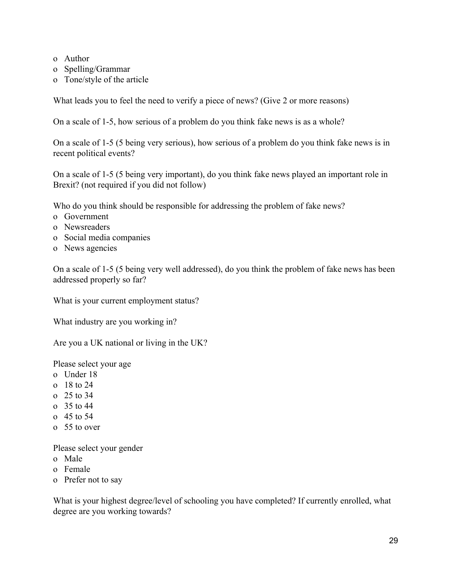- o Author
- o Spelling/Grammar
- o Tone/style of the article

What leads you to feel the need to verify a piece of news? (Give 2 or more reasons)

On a scale of 1-5, how serious of a problem do you think fake news is as a whole?

On a scale of 1-5 (5 being very serious), how serious of a problem do you think fake news is in recent political events?

On a scale of 1-5 (5 being very important), do you think fake news played an important role in Brexit? (not required if you did not follow)

Who do you think should be responsible for addressing the problem of fake news?

- o Government
- o Newsreaders
- o Social media companies
- o News agencies

On a scale of 1-5 (5 being very well addressed), do you think the problem of fake news has been addressed properly so far?

What is your current employment status?

What industry are you working in?

Are you a UK national or living in the UK?

Please select your age

- o Under 18
- o 18 to 24
- o 25 to 34
- o 35 to 44
- o 45 to 54
- o 55 to over

Please select your gender

- o Male
- o Female
- o Prefer not to say

What is your highest degree/level of schooling you have completed? If currently enrolled, what degree are you working towards?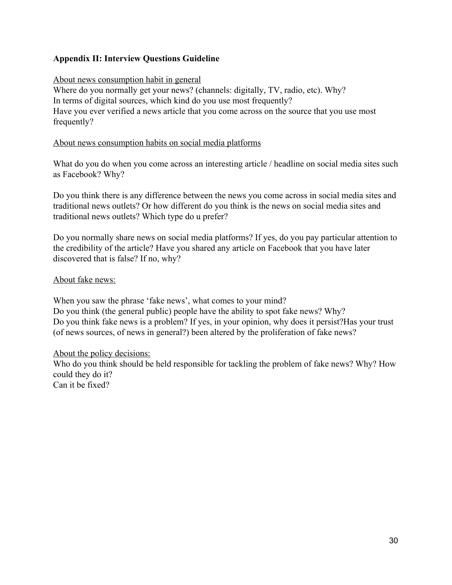# **Appendix II: Interview Questions Guideline**

# About news consumption habit in general

Where do you normally get your news? (channels: digitally, TV, radio, etc). Why? In terms of digital sources, which kind do you use most frequently? Have you ever verified a news article that you come across on the source that you use most frequently?

## About news consumption habits on social media platforms

What do you do when you come across an interesting article / headline on social media sites such as Facebook? Why?

Do you think there is any difference between the news you come across in social media sites and traditional news outlets? Or how different do you think is the news on social media sites and traditional news outlets? Which type do u prefer?

Do you normally share news on social media platforms? If yes, do you pay particular attention to the credibility of the article? Have you shared any article on Facebook that you have later discovered that is false? If no, why?

# About fake news:

When you saw the phrase 'fake news', what comes to your mind? Do you think (the general public) people have the ability to spot fake news? Why? Do you think fake news is a problem? If yes, in your opinion, why does it persist?Has your trust (of news sources, of news in general?) been altered by the proliferation of fake news?

# About the policy decisions:

Who do you think should be held responsible for tackling the problem of fake news? Why? How could they do it? Can it be fixed?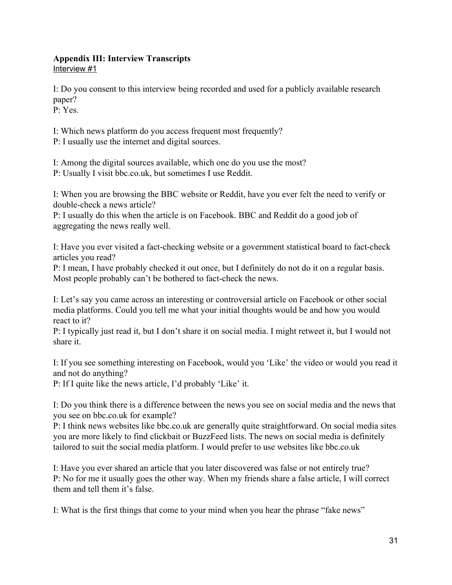# **Appendix III: Interview Transcripts**

Interview #1

I: Do you consent to this interview being recorded and used for a publicly available research paper?

P: Yes.

I: Which news platform do you access frequent most frequently?

P: I usually use the internet and digital sources.

I: Among the digital sources available, which one do you use the most?

P: Usually I visit bbc.co.uk, but sometimes I use Reddit.

I: When you are browsing the BBC website or Reddit, have you ever felt the need to verify or double-check a news article?

P: I usually do this when the article is on Facebook. BBC and Reddit do a good job of aggregating the news really well.

I: Have you ever visited a fact-checking website or a government statistical board to fact-check articles you read?

P: I mean, I have probably checked it out once, but I definitely do not do it on a regular basis. Most people probably can't be bothered to fact-check the news.

I: Let's say you came across an interesting or controversial article on Facebook or other social media platforms. Could you tell me what your initial thoughts would be and how you would react to it?

P: I typically just read it, but I don't share it on social media. I might retweet it, but I would not share it.

I: If you see something interesting on Facebook, would you 'Like' the video or would you read it and not do anything?

P: If I quite like the news article, I'd probably 'Like' it.

I: Do you think there is a difference between the news you see on social media and the news that you see on bbc.co.uk for example?

P: I think news websites like bbc.co.uk are generally quite straightforward. On social media sites you are more likely to find clickbait or BuzzFeed lists. The news on social media is definitely tailored to suit the social media platform. I would prefer to use websites like bbc.co.uk

I: Have you ever shared an article that you later discovered was false or not entirely true? P: No for me it usually goes the other way. When my friends share a false article, I will correct them and tell them it's false.

I: What is the first things that come to your mind when you hear the phrase "fake news"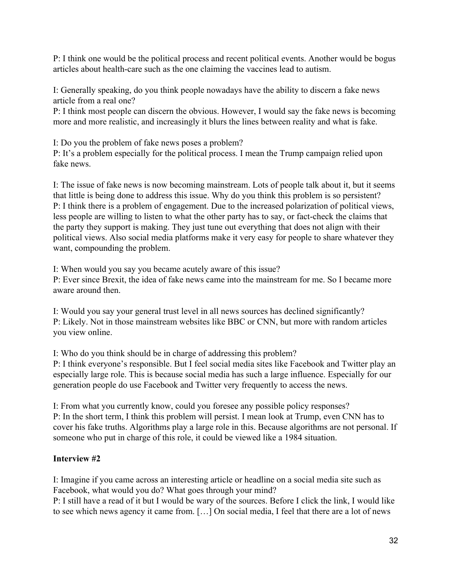P: I think one would be the political process and recent political events. Another would be bogus articles about health-care such as the one claiming the vaccines lead to autism.

I: Generally speaking, do you think people nowadays have the ability to discern a fake news article from a real one?

P: I think most people can discern the obvious. However, I would say the fake news is becoming more and more realistic, and increasingly it blurs the lines between reality and what is fake.

I: Do you the problem of fake news poses a problem?

P: It's a problem especially for the political process. I mean the Trump campaign relied upon fake news.

I: The issue of fake news is now becoming mainstream. Lots of people talk about it, but it seems that little is being done to address this issue. Why do you think this problem is so persistent? P: I think there is a problem of engagement. Due to the increased polarization of political views, less people are willing to listen to what the other party has to say, or fact-check the claims that the party they support is making. They just tune out everything that does not align with their political views. Also social media platforms make it very easy for people to share whatever they want, compounding the problem.

I: When would you say you became acutely aware of this issue?

P: Ever since Brexit, the idea of fake news came into the mainstream for me. So I became more aware around then.

I: Would you say your general trust level in all news sources has declined significantly? P: Likely. Not in those mainstream websites like BBC or CNN, but more with random articles you view online.

I: Who do you think should be in charge of addressing this problem?

P: I think everyone's responsible. But I feel social media sites like Facebook and Twitter play an especially large role. This is because social media has such a large influence. Especially for our generation people do use Facebook and Twitter very frequently to access the news.

I: From what you currently know, could you foresee any possible policy responses? P: In the short term, I think this problem will persist. I mean look at Trump, even CNN has to cover his fake truths. Algorithms play a large role in this. Because algorithms are not personal. If someone who put in charge of this role, it could be viewed like a 1984 situation.

# **Interview #2**

I: Imagine if you came across an interesting article or headline on a social media site such as Facebook, what would you do? What goes through your mind?

P: I still have a read of it but I would be wary of the sources. Before I click the link, I would like to see which news agency it came from. […] On social media, I feel that there are a lot of news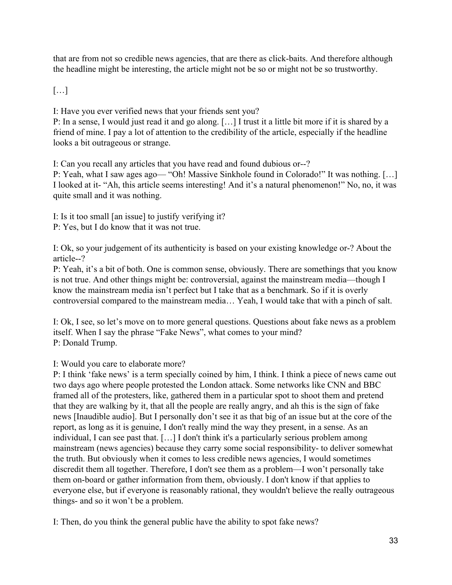that are from not so credible news agencies, that are there as click-baits. And therefore although the headline might be interesting, the article might not be so or might not be so trustworthy.

[…]

I: Have you ever verified news that your friends sent you?

P: In a sense, I would just read it and go along. […] I trust it a little bit more if it is shared by a friend of mine. I pay a lot of attention to the credibility of the article, especially if the headline looks a bit outrageous or strange.

I: Can you recall any articles that you have read and found dubious or--?

P: Yeah, what I saw ages ago— "Oh! Massive Sinkhole found in Colorado!" It was nothing. […] I looked at it- "Ah, this article seems interesting! And it's a natural phenomenon!" No, no, it was quite small and it was nothing.

I: Is it too small [an issue] to justify verifying it?

P: Yes, but I do know that it was not true.

I: Ok, so your judgement of its authenticity is based on your existing knowledge or-? About the article--?

P: Yeah, it's a bit of both. One is common sense, obviously. There are somethings that you know is not true. And other things might be: controversial, against the mainstream media—though I know the mainstream media isn't perfect but I take that as a benchmark. So if it is overly controversial compared to the mainstream media… Yeah, I would take that with a pinch of salt.

I: Ok, I see, so let's move on to more general questions. Questions about fake news as a problem itself. When I say the phrase "Fake News", what comes to your mind? P: Donald Trump.

I: Would you care to elaborate more?

P: I think 'fake news' is a term specially coined by him, I think. I think a piece of news came out two days ago where people protested the London attack. Some networks like CNN and BBC framed all of the protesters, like, gathered them in a particular spot to shoot them and pretend that they are walking by it, that all the people are really angry, and ah this is the sign of fake news [Inaudible audio]. But I personally don't see it as that big of an issue but at the core of the report, as long as it is genuine, I don't really mind the way they present, in a sense. As an individual, I can see past that. […] I don't think it's a particularly serious problem among mainstream (news agencies) because they carry some social responsibility- to deliver somewhat the truth. But obviously when it comes to less credible news agencies, I would sometimes discredit them all together. Therefore, I don't see them as a problem—I won't personally take them on-board or gather information from them, obviously. I don't know if that applies to everyone else, but if everyone is reasonably rational, they wouldn't believe the really outrageous things- and so it won't be a problem.

I: Then, do you think the general public have the ability to spot fake news?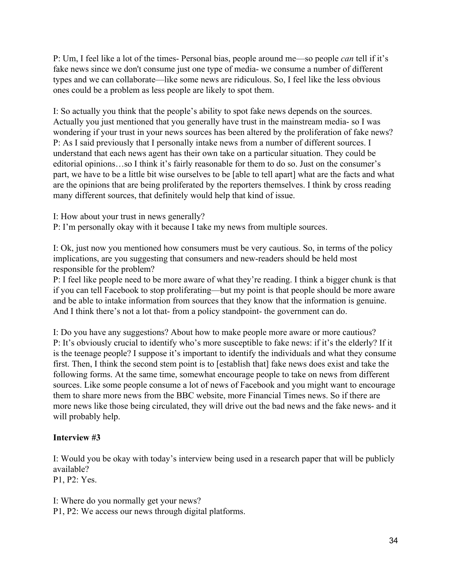P: Um, I feel like a lot of the times- Personal bias, people around me—so people *can* tell if it's fake news since we don't consume just one type of media- we consume a number of different types and we can collaborate—like some news are ridiculous. So, I feel like the less obvious ones could be a problem as less people are likely to spot them.

I: So actually you think that the people's ability to spot fake news depends on the sources. Actually you just mentioned that you generally have trust in the mainstream media- so I was wondering if your trust in your news sources has been altered by the proliferation of fake news? P: As I said previously that I personally intake news from a number of different sources. I understand that each news agent has their own take on a particular situation. They could be editorial opinions…so I think it's fairly reasonable for them to do so. Just on the consumer's part, we have to be a little bit wise ourselves to be [able to tell apart] what are the facts and what are the opinions that are being proliferated by the reporters themselves. I think by cross reading many different sources, that definitely would help that kind of issue.

I: How about your trust in news generally?

P: I'm personally okay with it because I take my news from multiple sources.

I: Ok, just now you mentioned how consumers must be very cautious. So, in terms of the policy implications, are you suggesting that consumers and new-readers should be held most responsible for the problem?

P: I feel like people need to be more aware of what they're reading. I think a bigger chunk is that if you can tell Facebook to stop proliferating—but my point is that people should be more aware and be able to intake information from sources that they know that the information is genuine. And I think there's not a lot that- from a policy standpoint- the government can do.

I: Do you have any suggestions? About how to make people more aware or more cautious? P: It's obviously crucial to identify who's more susceptible to fake news: if it's the elderly? If it is the teenage people? I suppose it's important to identify the individuals and what they consume first. Then, I think the second stem point is to [establish that] fake news does exist and take the following forms. At the same time, somewhat encourage people to take on news from different sources. Like some people consume a lot of news of Facebook and you might want to encourage them to share more news from the BBC website, more Financial Times news. So if there are more news like those being circulated, they will drive out the bad news and the fake news- and it will probably help.

# **Interview #3**

I: Would you be okay with today's interview being used in a research paper that will be publicly available?

P1, P2: Yes.

I: Where do you normally get your news? P1, P2: We access our news through digital platforms.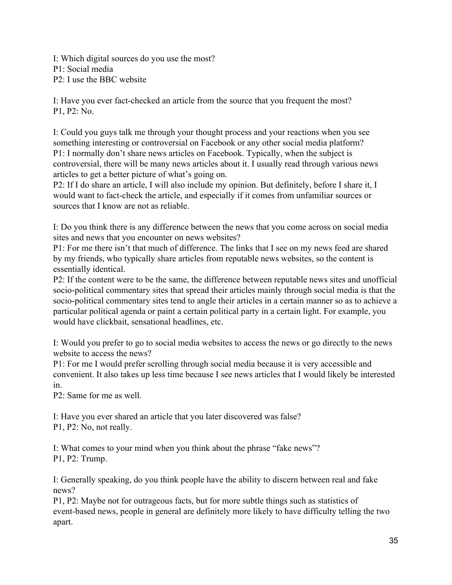I: Which digital sources do you use the most? P1: Social media P2: I use the BBC website

I: Have you ever fact-checked an article from the source that you frequent the most? P1, P2: No.

I: Could you guys talk me through your thought process and your reactions when you see something interesting or controversial on Facebook or any other social media platform? P1: I normally don't share news articles on Facebook. Typically, when the subject is controversial, there will be many news articles about it. I usually read through various news articles to get a better picture of what's going on.

P2: If I do share an article, I will also include my opinion. But definitely, before I share it, I would want to fact-check the article, and especially if it comes from unfamiliar sources or sources that I know are not as reliable.

I: Do you think there is any difference between the news that you come across on social media sites and news that you encounter on news websites?

P1: For me there isn't that much of difference. The links that I see on my news feed are shared by my friends, who typically share articles from reputable news websites, so the content is essentially identical.

P2: If the content were to be the same, the difference between reputable news sites and unofficial socio-political commentary sites that spread their articles mainly through social media is that the socio-political commentary sites tend to angle their articles in a certain manner so as to achieve a particular political agenda or paint a certain political party in a certain light. For example, you would have clickbait, sensational headlines, etc.

I: Would you prefer to go to social media websites to access the news or go directly to the news website to access the news?

P1: For me I would prefer scrolling through social media because it is very accessible and convenient. It also takes up less time because I see news articles that I would likely be interested in.

P2: Same for me as well.

I: Have you ever shared an article that you later discovered was false? P1, P2: No, not really.

I: What comes to your mind when you think about the phrase "fake news"? P1, P2: Trump.

I: Generally speaking, do you think people have the ability to discern between real and fake news?

P1, P2: Maybe not for outrageous facts, but for more subtle things such as statistics of event-based news, people in general are definitely more likely to have difficulty telling the two apart.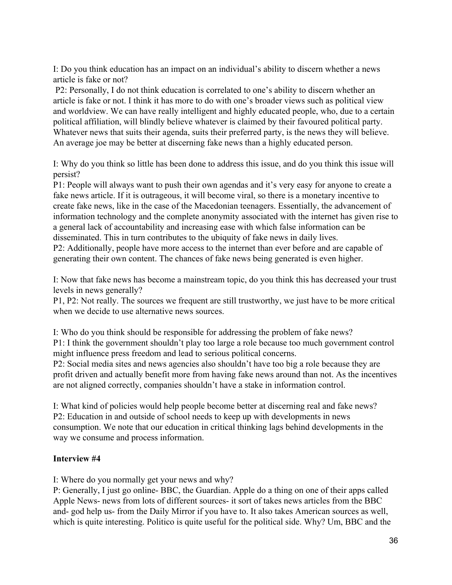I: Do you think education has an impact on an individual's ability to discern whether a news article is fake or not?

 P2: Personally, I do not think education is correlated to one's ability to discern whether an article is fake or not. I think it has more to do with one's broader views such as political view and worldview. We can have really intelligent and highly educated people, who, due to a certain political affiliation, will blindly believe whatever is claimed by their favoured political party. Whatever news that suits their agenda, suits their preferred party, is the news they will believe. An average joe may be better at discerning fake news than a highly educated person.

I: Why do you think so little has been done to address this issue, and do you think this issue will persist?

P1: People will always want to push their own agendas and it's very easy for anyone to create a fake news article. If it is outrageous, it will become viral, so there is a monetary incentive to create fake news, like in the case of the Macedonian teenagers. Essentially, the advancement of information technology and the complete anonymity associated with the internet has given rise to a general lack of accountability and increasing ease with which false information can be disseminated. This in turn contributes to the ubiquity of fake news in daily lives.

P2: Additionally, people have more access to the internet than ever before and are capable of generating their own content. The chances of fake news being generated is even higher.

I: Now that fake news has become a mainstream topic, do you think this has decreased your trust levels in news generally?

P1, P2: Not really. The sources we frequent are still trustworthy, we just have to be more critical when we decide to use alternative news sources.

I: Who do you think should be responsible for addressing the problem of fake news? P1: I think the government shouldn't play too large a role because too much government control might influence press freedom and lead to serious political concerns.

P2: Social media sites and news agencies also shouldn't have too big a role because they are profit driven and actually benefit more from having fake news around than not. As the incentives are not aligned correctly, companies shouldn't have a stake in information control.

I: What kind of policies would help people become better at discerning real and fake news? P2: Education in and outside of school needs to keep up with developments in news consumption. We note that our education in critical thinking lags behind developments in the way we consume and process information.

# **Interview #4**

I: Where do you normally get your news and why?

P: Generally, I just go online- BBC, the Guardian. Apple do a thing on one of their apps called Apple News- news from lots of different sources- it sort of takes news articles from the BBC and- god help us- from the Daily Mirror if you have to. It also takes American sources as well, which is quite interesting. Politico is quite useful for the political side. Why? Um, BBC and the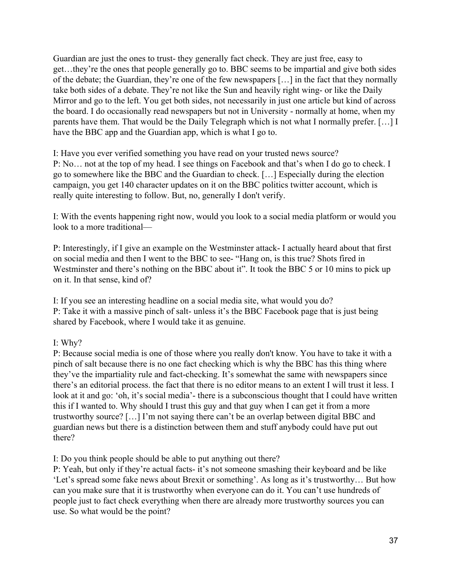Guardian are just the ones to trust- they generally fact check. They are just free, easy to get…they're the ones that people generally go to. BBC seems to be impartial and give both sides of the debate; the Guardian, they're one of the few newspapers […] in the fact that they normally take both sides of a debate. They're not like the Sun and heavily right wing- or like the Daily Mirror and go to the left. You get both sides, not necessarily in just one article but kind of across the board. I do occasionally read newspapers but not in University - normally at home, when my parents have them. That would be the Daily Telegraph which is not what I normally prefer. […] I have the BBC app and the Guardian app, which is what I go to.

I: Have you ever verified something you have read on your trusted news source? P: No… not at the top of my head. I see things on Facebook and that's when I do go to check. I go to somewhere like the BBC and the Guardian to check. […] Especially during the election campaign, you get 140 character updates on it on the BBC politics twitter account, which is really quite interesting to follow. But, no, generally I don't verify.

I: With the events happening right now, would you look to a social media platform or would you look to a more traditional—

P: Interestingly, if I give an example on the Westminster attack- I actually heard about that first on social media and then I went to the BBC to see- "Hang on, is this true? Shots fired in Westminster and there's nothing on the BBC about it". It took the BBC 5 or 10 mins to pick up on it. In that sense, kind of?

I: If you see an interesting headline on a social media site, what would you do? P: Take it with a massive pinch of salt- unless it's the BBC Facebook page that is just being shared by Facebook, where I would take it as genuine.

# I: Why?

P: Because social media is one of those where you really don't know. You have to take it with a pinch of salt because there is no one fact checking which is why the BBC has this thing where they've the impartiality rule and fact-checking. It's somewhat the same with newspapers since there's an editorial process. the fact that there is no editor means to an extent I will trust it less. I look at it and go: 'oh, it's social media'- there is a subconscious thought that I could have written this if I wanted to. Why should I trust this guy and that guy when I can get it from a more trustworthy source? […] I'm not saying there can't be an overlap between digital BBC and guardian news but there is a distinction between them and stuff anybody could have put out there?

I: Do you think people should be able to put anything out there?

P: Yeah, but only if they're actual facts- it's not someone smashing their keyboard and be like 'Let's spread some fake news about Brexit or something'. As long as it's trustworthy… But how can you make sure that it is trustworthy when everyone can do it. You can't use hundreds of people just to fact check everything when there are already more trustworthy sources you can use. So what would be the point?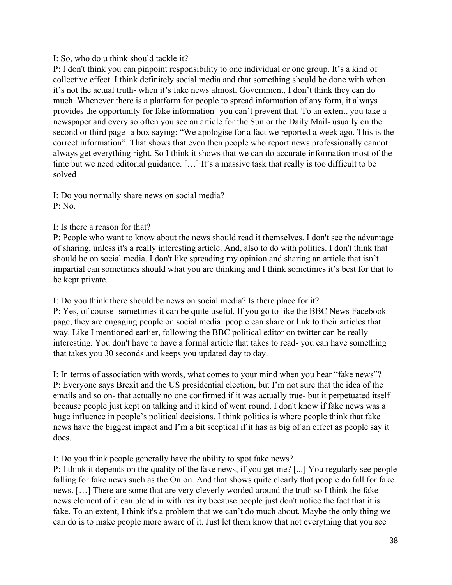# I: So, who do u think should tackle it?

P: I don't think you can pinpoint responsibility to one individual or one group. It's a kind of collective effect. I think definitely social media and that something should be done with when it's not the actual truth- when it's fake news almost. Government, I don't think they can do much. Whenever there is a platform for people to spread information of any form, it always provides the opportunity for fake information- you can't prevent that. To an extent, you take a newspaper and every so often you see an article for the Sun or the Daily Mail- usually on the second or third page- a box saying: "We apologise for a fact we reported a week ago. This is the correct information". That shows that even then people who report news professionally cannot always get everything right. So I think it shows that we can do accurate information most of the time but we need editorial guidance. […] It's a massive task that really is too difficult to be solved

I: Do you normally share news on social media? P: No.

I: Is there a reason for that?

P: People who want to know about the news should read it themselves. I don't see the advantage of sharing, unless it's a really interesting article. And, also to do with politics. I don't think that should be on social media. I don't like spreading my opinion and sharing an article that isn't impartial can sometimes should what you are thinking and I think sometimes it's best for that to be kept private.

I: Do you think there should be news on social media? Is there place for it? P: Yes, of course- sometimes it can be quite useful. If you go to like the BBC News Facebook page, they are engaging people on social media: people can share or link to their articles that way. Like I mentioned earlier, following the BBC political editor on twitter can be really interesting. You don't have to have a formal article that takes to read- you can have something that takes you 30 seconds and keeps you updated day to day.

I: In terms of association with words, what comes to your mind when you hear "fake news"? P: Everyone says Brexit and the US presidential election, but I'm not sure that the idea of the emails and so on- that actually no one confirmed if it was actually true- but it perpetuated itself because people just kept on talking and it kind of went round. I don't know if fake news was a huge influence in people's political decisions. I think politics is where people think that fake news have the biggest impact and I'm a bit sceptical if it has as big of an effect as people say it does.

I: Do you think people generally have the ability to spot fake news?

P: I think it depends on the quality of the fake news, if you get me? [...] You regularly see people falling for fake news such as the Onion. And that shows quite clearly that people do fall for fake news. […] There are some that are very cleverly worded around the truth so I think the fake news element of it can blend in with reality because people just don't notice the fact that it is fake. To an extent, I think it's a problem that we can't do much about. Maybe the only thing we can do is to make people more aware of it. Just let them know that not everything that you see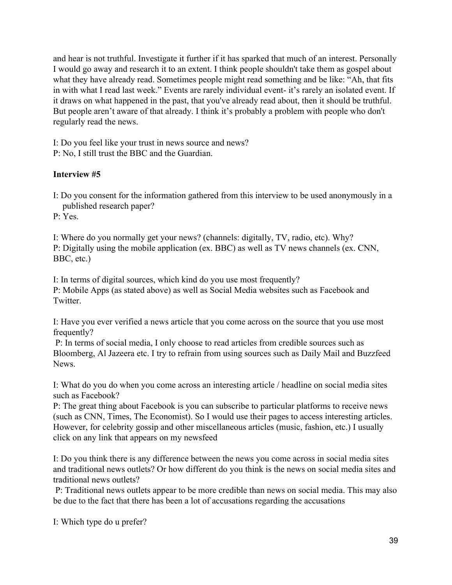and hear is not truthful. Investigate it further if it has sparked that much of an interest. Personally I would go away and research it to an extent. I think people shouldn't take them as gospel about what they have already read. Sometimes people might read something and be like: "Ah, that fits in with what I read last week." Events are rarely individual event- it's rarely an isolated event. If it draws on what happened in the past, that you've already read about, then it should be truthful. But people aren't aware of that already. I think it's probably a problem with people who don't regularly read the news.

I: Do you feel like your trust in news source and news?

P: No, I still trust the BBC and the Guardian.

# **Interview #5**

I: Do you consent for the information gathered from this interview to be used anonymously in a published research paper?

P: Yes.

I: Where do you normally get your news? (channels: digitally, TV, radio, etc). Why? P: Digitally using the mobile application (ex. BBC) as well as TV news channels (ex. CNN, BBC, etc.)

I: In terms of digital sources, which kind do you use most frequently?

P: Mobile Apps (as stated above) as well as Social Media websites such as Facebook and **Twitter** 

I: Have you ever verified a news article that you come across on the source that you use most frequently?

 P: In terms of social media, I only choose to read articles from credible sources such as Bloomberg, Al Jazeera etc. I try to refrain from using sources such as Daily Mail and Buzzfeed News.

I: What do you do when you come across an interesting article / headline on social media sites such as Facebook?

P: The great thing about Facebook is you can subscribe to particular platforms to receive news (such as CNN, Times, The Economist). So I would use their pages to access interesting articles. However, for celebrity gossip and other miscellaneous articles (music, fashion, etc.) I usually click on any link that appears on my newsfeed

I: Do you think there is any difference between the news you come across in social media sites and traditional news outlets? Or how different do you think is the news on social media sites and traditional news outlets?

 P: Traditional news outlets appear to be more credible than news on social media. This may also be due to the fact that there has been a lot of accusations regarding the accusations

I: Which type do u prefer?